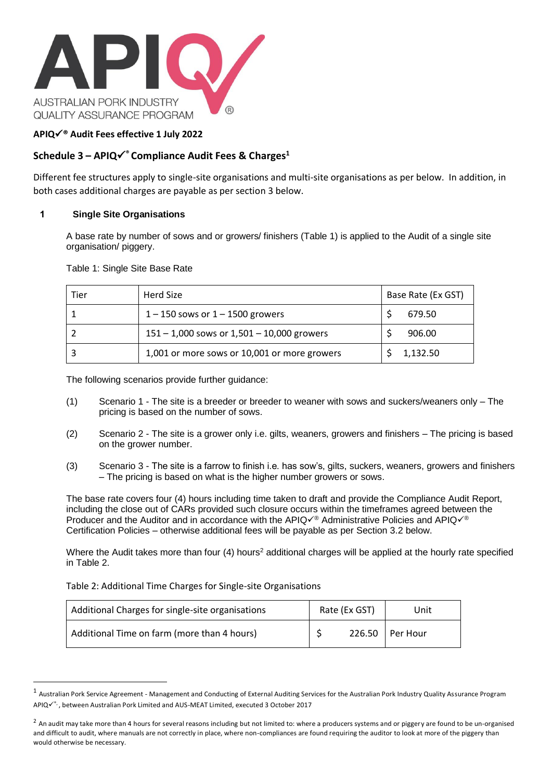

## **APIQ**✓**® Audit Fees effective 1 July 2022**

# **Schedule 3 – APIQ**✓**® Compliance Audit Fees & Charges<sup>1</sup>**

Different fee structures apply to single-site organisations and multi-site organisations as per below. In addition, in both cases additional charges are payable as per section 3 below.

#### <span id="page-0-0"></span>**1 Single Site Organisations**

A base rate by number of sows and or growers/ finishers (Table 1) is applied to the Audit of a single site organisation/ piggery.

Table 1: Single Site Base Rate

| Tier | Herd Size                                      | Base Rate (Ex GST) |          |
|------|------------------------------------------------|--------------------|----------|
|      | $1 - 150$ sows or $1 - 1500$ growers           |                    | 679.50   |
|      | $151 - 1,000$ sows or $1,501 - 10,000$ growers |                    | 906.00   |
|      | 1,001 or more sows or 10,001 or more growers   |                    | 1,132.50 |

The following scenarios provide further guidance:

- (1) Scenario 1 The site is a breeder or breeder to weaner with sows and suckers/weaners only The pricing is based on the number of sows.
- (2) Scenario 2 The site is a grower only i.e. gilts, weaners, growers and finishers The pricing is based on the grower number.
- (3) Scenario 3 The site is a farrow to finish i.e. has sow's, gilts, suckers, weaners, growers and finishers – The pricing is based on what is the higher number growers or sows.

The base rate covers four (4) hours including time taken to draft and provide the Compliance Audit Report, including the close out of CARs provided such closure occurs within the timeframes agreed between the Producer and the Auditor and in accordance with the APIQè Administrative Policies and APIQ√® Certification Policies – otherwise additional fees will be payable as per Section 3.2 below.

Where the Audit takes more than four (4) hours<sup>2</sup> additional charges will be applied at the hourly rate specified in Table 2.

Table 2: Additional Time Charges for Single-site Organisations

| Additional Charges for single-site organisations | Rate (Ex GST) | Unit     |
|--------------------------------------------------|---------------|----------|
| Additional Time on farm (more than 4 hours)      | 226.50        | Per Hour |

 $^1$  Australian Pork Service Agreement - Management and Conducting of External Auditing Services for the Australian Pork Industry Quality Assurance Program APIQè, between Australian Pork Limited and AUS-MEAT Limited, executed 3 October 2017

 $^2$  An audit may take more than 4 hours for several reasons including but not limited to: where a producers systems and or piggery are found to be un-organised and difficult to audit, where manuals are not correctly in place, where non-compliances are found requiring the auditor to look at more of the piggery than would otherwise be necessary.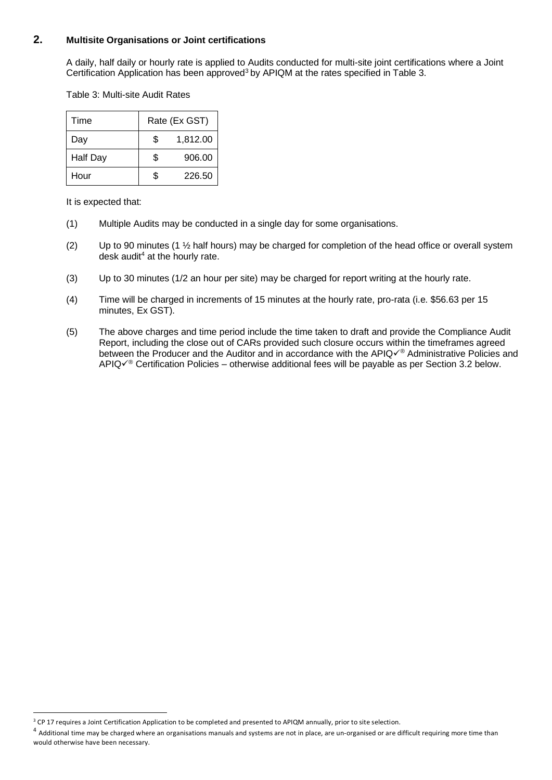## **2. Multisite Organisations or Joint certifications**

A daily, half daily or hourly rate is applied to Audits conducted for multi-site joint certifications where a Joint Certification Application has been approved<sup>3</sup> by APIQM at the rates specified in Table 3.

Table 3: Multi-site Audit Rates

| Time            | Rate (Ex GST) |          |  |
|-----------------|---------------|----------|--|
| Day             | \$.           | 1,812.00 |  |
| <b>Half Day</b> | S.            | 906.00   |  |
| Hour            |               | 226.50   |  |

It is expected that:

- (1) Multiple Audits may be conducted in a single day for some organisations.
- (2) Up to 90 minutes (1  $\frac{1}{2}$  half hours) may be charged for completion of the head office or overall system desk audit<sup>4</sup> at the hourly rate.
- (3) Up to 30 minutes (1/2 an hour per site) may be charged for report writing at the hourly rate.
- (4) Time will be charged in increments of 15 minutes at the hourly rate, pro-rata (i.e. \$56.63 per 15 minutes, Ex GST).
- (5) The above charges and time period include the time taken to draft and provide the Compliance Audit Report, including the close out of CARs provided such closure occurs within the timeframes agreed between the Producer and the Auditor and in accordance with the APIQè Administrative Policies and APIQ✓® Certification Policies – otherwise additional fees will be payable as per Section 3.2 below.

<sup>&</sup>lt;sup>3</sup> CP 17 requires a Joint Certification Application to be completed and presented to APIQM annually, prior to site selection.

 $^4$  Additional time may be charged where an organisations manuals and systems are not in place, are un-organised or are difficult requiring more time than would otherwise have been necessary.